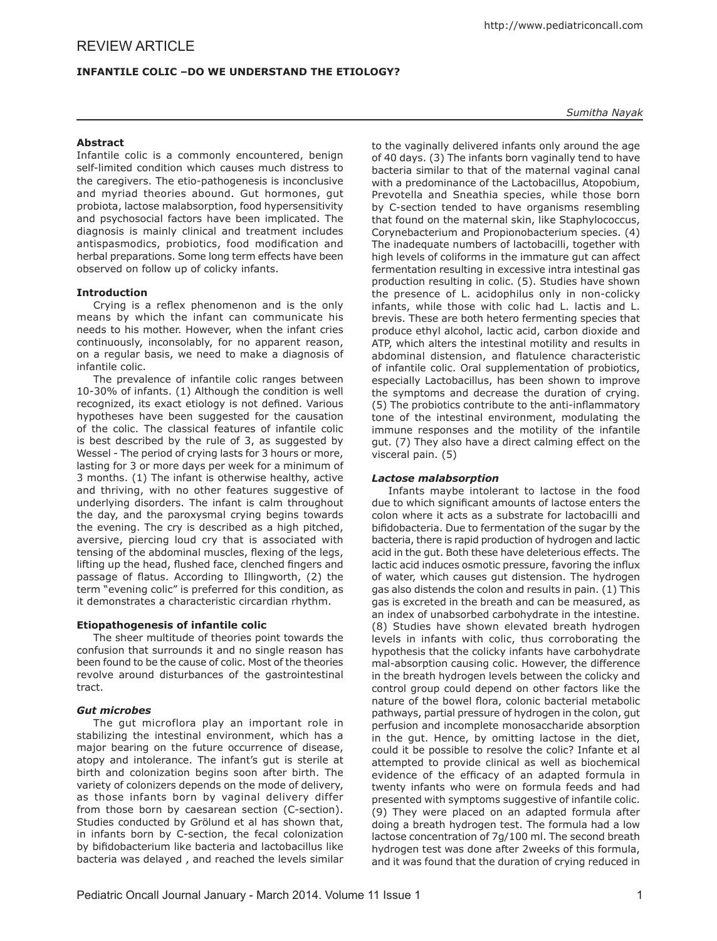# **Infantile Colic –Do we understand the Etiology?**

# **Abstract**

Infantile colic is a commonly encountered, benign self-limited condition which causes much distress to the caregivers. The etio-pathogenesis is inconclusive and myriad theories abound. Gut hormones, gut probiota, lactose malabsorption, food hypersensitivity and psychosocial factors have been implicated. The diagnosis is mainly clinical and treatment includes antispasmodics, probiotics, food modification and herbal preparations. Some long term effects have been observed on follow up of colicky infants.

## **Introduction**

Crying is a reflex phenomenon and is the only means by which the infant can communicate his needs to his mother. However, when the infant cries continuously, inconsolably, for no apparent reason, on a regular basis, we need to make a diagnosis of infantile colic.

The prevalence of infantile colic ranges between 10-30% of infants. (1) Although the condition is well recognized, its exact etiology is not defined. Various hypotheses have been suggested for the causation of the colic. The classical features of infantile colic is best described by the rule of 3, as suggested by Wessel - The period of crying lasts for 3 hours or more, lasting for 3 or more days per week for a minimum of 3 months. (1) The infant is otherwise healthy, active and thriving, with no other features suggestive of underlying disorders. The infant is calm throughout the day, and the paroxysmal crying begins towards the evening. The cry is described as a high pitched, aversive, piercing loud cry that is associated with tensing of the abdominal muscles, flexing of the legs, lifting up the head, flushed face, clenched fingers and passage of flatus. According to Illingworth, (2) the term "evening colic" is preferred for this condition, as it demonstrates a characteristic circardian rhythm.

## **Etiopathogenesis of infantile colic**

The sheer multitude of theories point towards the confusion that surrounds it and no single reason has been found to be the cause of colic. Most of the theories revolve around disturbances of the gastrointestinal tract.

## *Gut microbes*

The gut microflora play an important role in stabilizing the intestinal environment, which has a major bearing on the future occurrence of disease, atopy and intolerance. The infant's gut is sterile at birth and colonization begins soon after birth. The variety of colonizers depends on the mode of delivery, as those infants born by vaginal delivery differ from those born by caesarean section (C-section). Studies conducted by Grölund et al has shown that, in infants born by C-section, the fecal colonization by bifidobacterium like bacteria and lactobacillus like bacteria was delayed , and reached the levels similar

to the vaginally delivered infants only around the age of 40 days. (3) The infants born vaginally tend to have bacteria similar to that of the maternal vaginal canal with a predominance of the Lactobacillus, Atopobium, Prevotella and Sneathia species, while those born by C-section tended to have organisms resembling that found on the maternal skin, like Staphylococcus, Corynebacterium and Propionobacterium species. (4) The inadequate numbers of lactobacilli, together with high levels of coliforms in the immature gut can affect fermentation resulting in excessive intra intestinal gas production resulting in colic. (5). Studies have shown the presence of L. acidophilus only in non-colicky infants, while those with colic had L. lactis and L. brevis. These are both hetero fermenting species that produce ethyl alcohol, lactic acid, carbon dioxide and ATP, which alters the intestinal motility and results in abdominal distension, and flatulence characteristic of infantile colic. Oral supplementation of probiotics, especially Lactobacillus, has been shown to improve the symptoms and decrease the duration of crying. (5) The probiotics contribute to the anti-inflammatory tone of the intestinal environment, modulating the immune responses and the motility of the infantile gut. (7) They also have a direct calming effect on the visceral pain. (5)

## *Lactose malabsorption*

Infants maybe intolerant to lactose in the food due to which significant amounts of lactose enters the colon where it acts as a substrate for lactobacilli and bifidobacteria. Due to fermentation of the sugar by the bacteria, there is rapid production of hydrogen and lactic acid in the gut. Both these have deleterious effects. The lactic acid induces osmotic pressure, favoring the influx of water, which causes gut distension. The hydrogen gas also distends the colon and results in pain. (1) This gas is excreted in the breath and can be measured, as an index of unabsorbed carbohydrate in the intestine. (8) Studies have shown elevated breath hydrogen levels in infants with colic, thus corroborating the hypothesis that the colicky infants have carbohydrate mal-absorption causing colic. However, the difference in the breath hydrogen levels between the colicky and control group could depend on other factors like the nature of the bowel flora, colonic bacterial metabolic pathways, partial pressure of hydrogen in the colon, gut perfusion and incomplete monosaccharide absorption in the gut. Hence, by omitting lactose in the diet, could it be possible to resolve the colic? Infante et al attempted to provide clinical as well as biochemical evidence of the efficacy of an adapted formula in twenty infants who were on formula feeds and had presented with symptoms suggestive of infantile colic. (9) They were placed on an adapted formula after doing a breath hydrogen test. The formula had a low lactose concentration of 7g/100 ml. The second breath hydrogen test was done after 2weeks of this formula, and it was found that the duration of crying reduced in

*Sumitha Nayak*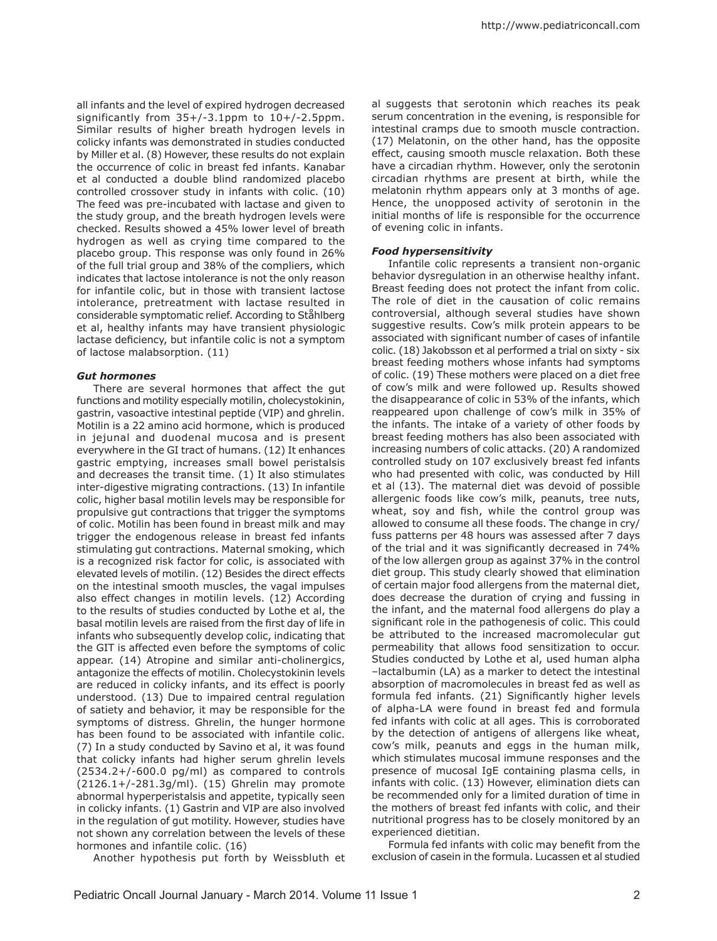all infants and the level of expired hydrogen decreased significantly from 35+/-3.1ppm to 10+/-2.5ppm. Similar results of higher breath hydrogen levels in colicky infants was demonstrated in studies conducted by Miller et al. (8) However, these results do not explain the occurrence of colic in breast fed infants. Kanabar et al conducted a double blind randomized placebo controlled crossover study in infants with colic. (10) The feed was pre-incubated with lactase and given to the study group, and the breath hydrogen levels were checked. Results showed a 45% lower level of breath hydrogen as well as crying time compared to the placebo group. This response was only found in 26% of the full trial group and 38% of the compliers, which indicates that lactose intolerance is not the only reason for infantile colic, but in those with transient lactose intolerance, pretreatment with lactase resulted in considerable symptomatic relief. According to Ståhlberg et al, healthy infants may have transient physiologic lactase deficiency, but infantile colic is not a symptom of lactose malabsorption. (11)

## *Gut hormones*

There are several hormones that affect the gut functions and motility especially motilin, cholecystokinin, gastrin, vasoactive intestinal peptide (VIP) and ghrelin. Motilin is a 22 amino acid hormone, which is produced in jejunal and duodenal mucosa and is present everywhere in the GI tract of humans. (12) It enhances gastric emptying, increases small bowel peristalsis and decreases the transit time. (1) It also stimulates inter-digestive migrating contractions. (13) In infantile colic, higher basal motilin levels may be responsible for propulsive gut contractions that trigger the symptoms of colic. Motilin has been found in breast milk and may trigger the endogenous release in breast fed infants stimulating gut contractions. Maternal smoking, which is a recognized risk factor for colic, is associated with elevated levels of motilin. (12) Besides the direct effects on the intestinal smooth muscles, the vagal impulses also effect changes in motilin levels. (12) According to the results of studies conducted by Lothe et al, the basal motilin levels are raised from the first day of life in infants who subsequently develop colic, indicating that the GIT is affected even before the symptoms of colic appear. (14) Atropine and similar anti-cholinergics, antagonize the effects of motilin. Cholecystokinin levels are reduced in colicky infants, and its effect is poorly understood. (13) Due to impaired central regulation of satiety and behavior, it may be responsible for the symptoms of distress. Ghrelin, the hunger hormone has been found to be associated with infantile colic. (7) In a study conducted by Savino et al, it was found that colicky infants had higher serum ghrelin levels  $(2534.2+/-600.0 \text{ pg/ml})$  as compared to controls (2126.1+/-281.3g/ml). (15) Ghrelin may promote abnormal hyperperistalsis and appetite, typically seen in colicky infants. (1) Gastrin and VIP are also involved in the regulation of gut motility. However, studies have not shown any correlation between the levels of these hormones and infantile colic. (16)

Another hypothesis put forth by Weissbluth et

al suggests that serotonin which reaches its peak serum concentration in the evening, is responsible for intestinal cramps due to smooth muscle contraction. (17) Melatonin, on the other hand, has the opposite effect, causing smooth muscle relaxation. Both these have a circadian rhythm. However, only the serotonin circadian rhythms are present at birth, while the melatonin rhythm appears only at 3 months of age. Hence, the unopposed activity of serotonin in the initial months of life is responsible for the occurrence of evening colic in infants.

## *Food hypersensitivity*

Infantile colic represents a transient non-organic behavior dysregulation in an otherwise healthy infant. Breast feeding does not protect the infant from colic. The role of diet in the causation of colic remains controversial, although several studies have shown suggestive results. Cow's milk protein appears to be associated with significant number of cases of infantile colic. (18) Jakobsson et al performed a trial on sixty - six breast feeding mothers whose infants had symptoms of colic. (19) These mothers were placed on a diet free of cow's milk and were followed up. Results showed the disappearance of colic in 53% of the infants, which reappeared upon challenge of cow's milk in 35% of the infants. The intake of a variety of other foods by breast feeding mothers has also been associated with increasing numbers of colic attacks. (20) A randomized controlled study on 107 exclusively breast fed infants who had presented with colic, was conducted by Hill et al (13). The maternal diet was devoid of possible allergenic foods like cow's milk, peanuts, tree nuts, wheat, soy and fish, while the control group was allowed to consume all these foods. The change in cry/ fuss patterns per 48 hours was assessed after 7 days of the trial and it was significantly decreased in 74% of the low allergen group as against 37% in the control diet group. This study clearly showed that elimination of certain major food allergens from the maternal diet, does decrease the duration of crying and fussing in the infant, and the maternal food allergens do play a significant role in the pathogenesis of colic. This could be attributed to the increased macromolecular gut permeability that allows food sensitization to occur. Studies conducted by Lothe et al, used human alpha –lactalbumin (LA) as a marker to detect the intestinal absorption of macromolecules in breast fed as well as formula fed infants. (21) Significantly higher levels of alpha-LA were found in breast fed and formula fed infants with colic at all ages. This is corroborated by the detection of antigens of allergens like wheat, cow's milk, peanuts and eggs in the human milk, which stimulates mucosal immune responses and the presence of mucosal IgE containing plasma cells, in infants with colic. (13) However, elimination diets can be recommended only for a limited duration of time in the mothers of breast fed infants with colic, and their nutritional progress has to be closely monitored by an experienced dietitian.

Formula fed infants with colic may benefit from the exclusion of casein in the formula. Lucassen et al studied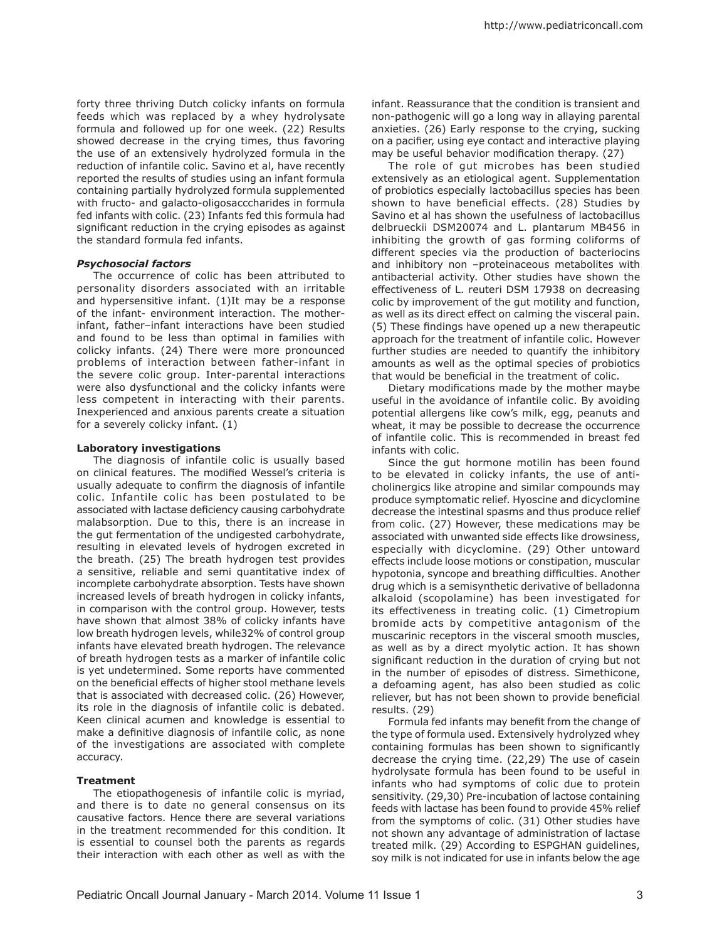forty three thriving Dutch colicky infants on formula feeds which was replaced by a whey hydrolysate formula and followed up for one week. (22) Results showed decrease in the crying times, thus favoring the use of an extensively hydrolyzed formula in the reduction of infantile colic. Savino et al, have recently reported the results of studies using an infant formula containing partially hydrolyzed formula supplemented with fructo- and galacto-oligosacccharides in formula fed infants with colic. (23) Infants fed this formula had significant reduction in the crying episodes as against the standard formula fed infants.

#### *Psychosocial factors*

The occurrence of colic has been attributed to personality disorders associated with an irritable and hypersensitive infant. (1)It may be a response of the infant- environment interaction. The motherinfant, father–infant interactions have been studied and found to be less than optimal in families with colicky infants. (24) There were more pronounced problems of interaction between father-infant in the severe colic group. Inter-parental interactions were also dysfunctional and the colicky infants were less competent in interacting with their parents. Inexperienced and anxious parents create a situation for a severely colicky infant. (1)

#### **Laboratory investigations**

The diagnosis of infantile colic is usually based on clinical features. The modified Wessel's criteria is usually adequate to confirm the diagnosis of infantile colic. Infantile colic has been postulated to be associated with lactase deficiency causing carbohydrate malabsorption. Due to this, there is an increase in the gut fermentation of the undigested carbohydrate, resulting in elevated levels of hydrogen excreted in the breath. (25) The breath hydrogen test provides a sensitive, reliable and semi quantitative index of incomplete carbohydrate absorption. Tests have shown increased levels of breath hydrogen in colicky infants, in comparison with the control group. However, tests have shown that almost 38% of colicky infants have low breath hydrogen levels, while32% of control group infants have elevated breath hydrogen. The relevance of breath hydrogen tests as a marker of infantile colic is yet undetermined. Some reports have commented on the beneficial effects of higher stool methane levels that is associated with decreased colic. (26) However, its role in the diagnosis of infantile colic is debated. Keen clinical acumen and knowledge is essential to make a definitive diagnosis of infantile colic, as none of the investigations are associated with complete accuracy.

#### **Treatment**

The etiopathogenesis of infantile colic is myriad, and there is to date no general consensus on its causative factors. Hence there are several variations in the treatment recommended for this condition. It is essential to counsel both the parents as regards their interaction with each other as well as with the

infant. Reassurance that the condition is transient and non-pathogenic will go a long way in allaying parental anxieties. (26) Early response to the crying, sucking on a pacifier, using eye contact and interactive playing may be useful behavior modification therapy. (27)

The role of gut microbes has been studied extensively as an etiological agent. Supplementation of probiotics especially lactobacillus species has been shown to have beneficial effects. (28) Studies by Savino et al has shown the usefulness of lactobacillus delbrueckii DSM20074 and L. plantarum MB456 in inhibiting the growth of gas forming coliforms of different species via the production of bacteriocins and inhibitory non –proteinaceous metabolites with antibacterial activity. Other studies have shown the effectiveness of L. reuteri DSM 17938 on decreasing colic by improvement of the gut motility and function, as well as its direct effect on calming the visceral pain. (5) These findings have opened up a new therapeutic approach for the treatment of infantile colic. However further studies are needed to quantify the inhibitory amounts as well as the optimal species of probiotics that would be beneficial in the treatment of colic.

Dietary modifications made by the mother maybe useful in the avoidance of infantile colic. By avoiding potential allergens like cow's milk, egg, peanuts and wheat, it may be possible to decrease the occurrence of infantile colic. This is recommended in breast fed infants with colic.

Since the gut hormone motilin has been found to be elevated in colicky infants, the use of anticholinergics like atropine and similar compounds may produce symptomatic relief. Hyoscine and dicyclomine decrease the intestinal spasms and thus produce relief from colic. (27) However, these medications may be associated with unwanted side effects like drowsiness, especially with dicyclomine. (29) Other untoward effects include loose motions or constipation, muscular hypotonia, syncope and breathing difficulties. Another drug which is a semisynthetic derivative of belladonna alkaloid (scopolamine) has been investigated for its effectiveness in treating colic. (1) Cimetropium bromide acts by competitive antagonism of the muscarinic receptors in the visceral smooth muscles, as well as by a direct myolytic action. It has shown significant reduction in the duration of crying but not in the number of episodes of distress. Simethicone, a defoaming agent, has also been studied as colic reliever, but has not been shown to provide beneficial results. (29)

Formula fed infants may benefit from the change of the type of formula used. Extensively hydrolyzed whey containing formulas has been shown to significantly decrease the crying time. (22,29) The use of casein hydrolysate formula has been found to be useful in infants who had symptoms of colic due to protein sensitivity. (29,30) Pre-incubation of lactose containing feeds with lactase has been found to provide 45% relief from the symptoms of colic. (31) Other studies have not shown any advantage of administration of lactase treated milk. (29) According to ESPGHAN guidelines, soy milk is not indicated for use in infants below the age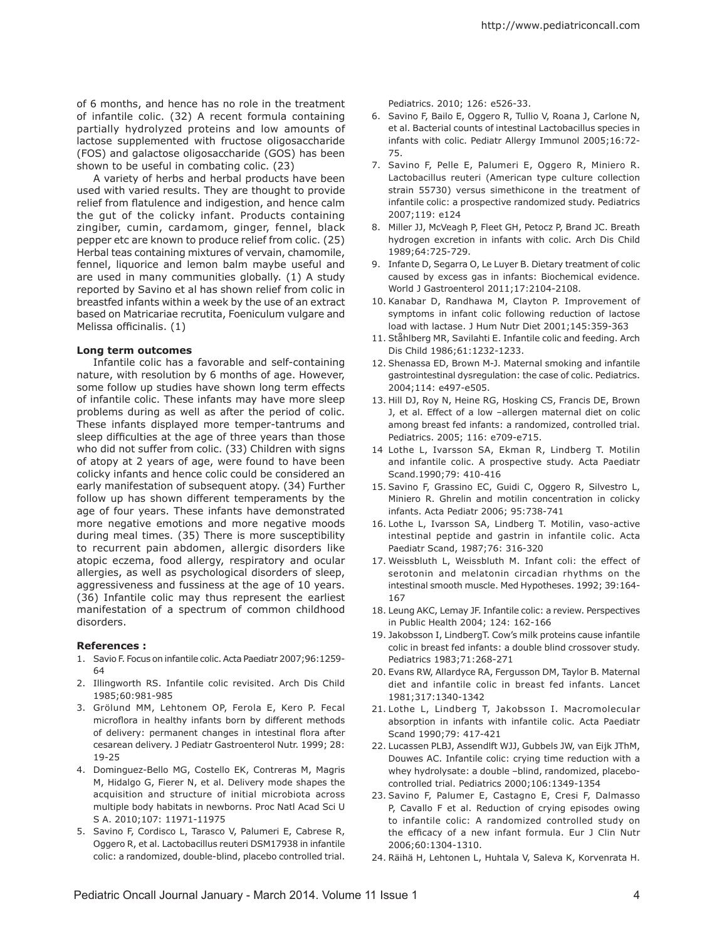of 6 months, and hence has no role in the treatment of infantile colic. (32) A recent formula containing partially hydrolyzed proteins and low amounts of lactose supplemented with fructose oligosaccharide (FOS) and galactose oligosaccharide (GOS) has been shown to be useful in combating colic. (23)

A variety of herbs and herbal products have been used with varied results. They are thought to provide relief from flatulence and indigestion, and hence calm the gut of the colicky infant. Products containing zingiber, cumin, cardamom, ginger, fennel, black pepper etc are known to produce relief from colic. (25) Herbal teas containing mixtures of vervain, chamomile, fennel, liquorice and lemon balm maybe useful and are used in many communities globally. (1) A study reported by Savino et al has shown relief from colic in breastfed infants within a week by the use of an extract based on Matricariae recrutita, Foeniculum vulgare and Melissa officinalis. (1)

#### **Long term outcomes**

Infantile colic has a favorable and self-containing nature, with resolution by 6 months of age. However, some follow up studies have shown long term effects of infantile colic. These infants may have more sleep problems during as well as after the period of colic. These infants displayed more temper-tantrums and sleep difficulties at the age of three years than those who did not suffer from colic. (33) Children with signs of atopy at 2 years of age, were found to have been colicky infants and hence colic could be considered an early manifestation of subsequent atopy. (34) Further follow up has shown different temperaments by the age of four years. These infants have demonstrated more negative emotions and more negative moods during meal times. (35) There is more susceptibility to recurrent pain abdomen, allergic disorders like atopic eczema, food allergy, respiratory and ocular allergies, as well as psychological disorders of sleep, aggressiveness and fussiness at the age of 10 years. (36) Infantile colic may thus represent the earliest manifestation of a spectrum of common childhood disorders.

#### **References :**

- 1. Savio F. Focus on infantile colic. Acta Paediatr 2007;96:1259- 64
- 2. Illingworth RS. Infantile colic revisited. Arch Dis Child 1985;60:981-985
- 3. Grölund MM, Lehtonem OP, Ferola E, Kero P. Fecal microflora in healthy infants born by different methods of delivery: permanent changes in intestinal flora after cesarean delivery. J Pediatr Gastroenterol Nutr. 1999; 28: 19-25
- 4. Dominguez-Bello MG, Costello EK, Contreras M, Magris M, Hidalgo G, Fierer N, et al. Delivery mode shapes the acquisition and structure of initial microbiota across multiple body habitats in newborns. Proc Natl Acad Sci U S A. 2010;107: 11971-11975
- 5. Savino F, Cordisco L, Tarasco V, Palumeri E, Cabrese R, Oggero R, et al. Lactobacillus reuteri DSM17938 in infantile colic: a randomized, double-blind, placebo controlled trial.

Pediatrics. 2010; 126: e526-33.

- 6. Savino F, Bailo E, Oggero R, Tullio V, Roana J, Carlone N, et al. Bacterial counts of intestinal Lactobacillus species in infants with colic. Pediatr Allergy Immunol 2005;16:72- 75.
- 7. Savino F, Pelle E, Palumeri E, Oggero R, Miniero R. Lactobacillus reuteri (American type culture collection strain 55730) versus simethicone in the treatment of infantile colic: a prospective randomized study. Pediatrics 2007;119: e124
- 8. Miller JJ, McVeagh P, Fleet GH, Petocz P, Brand JC. Breath hydrogen excretion in infants with colic. Arch Dis Child 1989;64:725-729.
- 9. Infante D, Segarra O, Le Luyer B. Dietary treatment of colic caused by excess gas in infants: Biochemical evidence. World J Gastroenterol 2011;17:2104-2108.
- 10. Kanabar D, Randhawa M, Clayton P. Improvement of symptoms in infant colic following reduction of lactose load with lactase. J Hum Nutr Diet 2001;145:359-363
- 11. Ståhlberg MR, Savilahti E. Infantile colic and feeding. Arch Dis Child 1986;61:1232-1233.
- 12. Shenassa ED, Brown M-J. Maternal smoking and infantile gastrointestinal dysregulation: the case of colic. Pediatrics. 2004;114: e497-e505.
- 13. Hill DJ, Roy N, Heine RG, Hosking CS, Francis DE, Brown J, et al. Effect of a low –allergen maternal diet on colic among breast fed infants: a randomized, controlled trial. Pediatrics. 2005; 116: e709-e715.
- 14 Lothe L, Ivarsson SA, Ekman R, Lindberg T. Motilin and infantile colic. A prospective study. Acta Paediatr Scand.1990;79: 410-416
- 15. Savino F, Grassino EC, Guidi C, Oggero R, Silvestro L, Miniero R. Ghrelin and motilin concentration in colicky infants. Acta Pediatr 2006; 95:738-741
- 16. Lothe L, Ivarsson SA, Lindberg T. Motilin, vaso-active intestinal peptide and gastrin in infantile colic. Acta Paediatr Scand, 1987;76: 316-320
- 17. Weissbluth L, Weissbluth M. Infant coli: the effect of serotonin and melatonin circadian rhythms on the intestinal smooth muscle. Med Hypotheses. 1992; 39:164- 167
- 18. Leung AKC, Lemay JF. Infantile colic: a review. Perspectives in Public Health 2004; 124: 162-166
- 19. Jakobsson I, LindbergT. Cow's milk proteins cause infantile colic in breast fed infants: a double blind crossover study. Pediatrics 1983;71:268-271
- 20. Evans RW, Allardyce RA, Fergusson DM, Taylor B. Maternal diet and infantile colic in breast fed infants. Lancet 1981;317:1340-1342
- 21. Lothe L, Lindberg T, Jakobsson I. Macromolecular absorption in infants with infantile colic. Acta Paediatr Scand 1990;79: 417-421
- 22. Lucassen PLBJ, Assendlft WJJ, Gubbels JW, van Eijk JThM, Douwes AC. Infantile colic: crying time reduction with a whey hydrolysate: a double –blind, randomized, placebocontrolled trial. Pediatrics 2000;106:1349-1354
- 23. Savino F, Palumer E, Castagno E, Cresi F, Dalmasso P, Cavallo F et al. Reduction of crying episodes owing to infantile colic: A randomized controlled study on the efficacy of a new infant formula. Eur J Clin Nutr 2006;60:1304-1310.
- 24. Räihä H, Lehtonen L, Huhtala V, Saleva K, Korvenrata H.